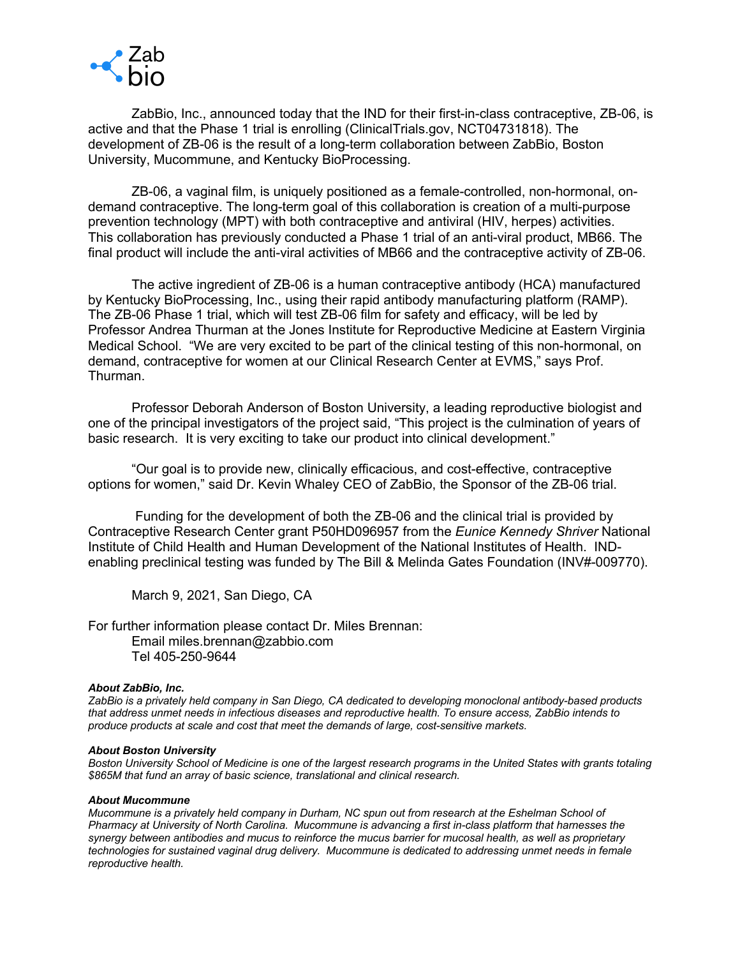

ZabBio, Inc., announced today that the IND for their first-in-class contraceptive, ZB-06, is active and that the Phase 1 trial is enrolling (ClinicalTrials.gov, NCT04731818). The development of ZB-06 is the result of a long-term collaboration between ZabBio, Boston University, Mucommune, and Kentucky BioProcessing.

ZB-06, a vaginal film, is uniquely positioned as a female-controlled, non-hormonal, ondemand contraceptive. The long-term goal of this collaboration is creation of a multi-purpose prevention technology (MPT) with both contraceptive and antiviral (HIV, herpes) activities. This collaboration has previously conducted a Phase 1 trial of an anti-viral product, MB66. The final product will include the anti-viral activities of MB66 and the contraceptive activity of ZB-06.

The active ingredient of ZB-06 is a human contraceptive antibody (HCA) manufactured by Kentucky BioProcessing, Inc., using their rapid antibody manufacturing platform (RAMP). The ZB-06 Phase 1 trial, which will test ZB-06 film for safety and efficacy, will be led by Professor Andrea Thurman at the Jones Institute for Reproductive Medicine at Eastern Virginia Medical School. "We are very excited to be part of the clinical testing of this non-hormonal, on demand, contraceptive for women at our Clinical Research Center at EVMS," says Prof. Thurman.

Professor Deborah Anderson of Boston University, a leading reproductive biologist and one of the principal investigators of the project said, "This project is the culmination of years of basic research. It is very exciting to take our product into clinical development."

"Our goal is to provide new, clinically efficacious, and cost-effective, contraceptive options for women," said Dr. Kevin Whaley CEO of ZabBio, the Sponsor of the ZB-06 trial.

Funding for the development of both the ZB-06 and the clinical trial is provided by Contraceptive Research Center grant P50HD096957 from the *Eunice Kennedy Shriver* National Institute of Child Health and Human Development of the National Institutes of Health. INDenabling preclinical testing was funded by The Bill & Melinda Gates Foundation (INV#-009770).

March 9, 2021, San Diego, CA

For further information please contact Dr. Miles Brennan: Email miles.brennan@zabbio.com Tel 405-250-9644

## *About ZabBio, Inc.*

*ZabBio is a privately held company in San Diego, CA dedicated to developing monoclonal antibody-based products that address unmet needs in infectious diseases and reproductive health. To ensure access, ZabBio intends to produce products at scale and cost that meet the demands of large, cost-sensitive markets.*

# *About Boston University*

*Boston University School of Medicine is one of the largest research programs in the United States with grants totaling \$865M that fund an array of basic science, translational and clinical research.*

#### *About Mucommune*

*Mucommune is a privately held company in Durham, NC spun out from research at the Eshelman School of Pharmacy at University of North Carolina. Mucommune is advancing a first in-class platform that harnesses the synergy between antibodies and mucus to reinforce the mucus barrier for mucosal health, as well as proprietary technologies for sustained vaginal drug delivery. Mucommune is dedicated to addressing unmet needs in female reproductive health.*